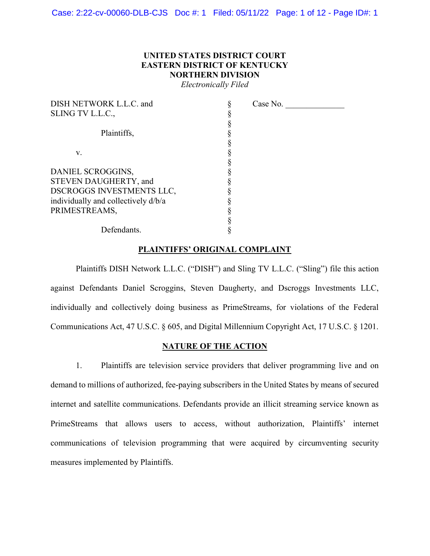# UNITED STATES DISTRICT COURT EASTERN DISTRICT OF KENTUCKY NORTHERN DIVISION

Electronically Filed

| DISH NETWORK L.L.C. and             | Case No. |
|-------------------------------------|----------|
| SLING TV L.L.C.,                    |          |
|                                     |          |
| Plaintiffs,                         |          |
|                                     |          |
| V.                                  |          |
|                                     |          |
| DANIEL SCROGGINS,                   |          |
| STEVEN DAUGHERTY, and               |          |
| DSCROGGS INVESTMENTS LLC,           |          |
| individually and collectively d/b/a |          |
| PRIMESTREAMS,                       |          |
|                                     |          |
| Defendants.                         |          |

# PLAINTIFFS' ORIGINAL COMPLAINT

Plaintiffs DISH Network L.L.C. ("DISH") and Sling TV L.L.C. ("Sling") file this action against Defendants Daniel Scroggins, Steven Daugherty, and Dscroggs Investments LLC, individually and collectively doing business as PrimeStreams, for violations of the Federal Communications Act, 47 U.S.C. § 605, and Digital Millennium Copyright Act, 17 U.S.C. § 1201.

### NATURE OF THE ACTION

1. Plaintiffs are television service providers that deliver programming live and on demand to millions of authorized, fee-paying subscribers in the United States by means of secured internet and satellite communications. Defendants provide an illicit streaming service known as PrimeStreams that allows users to access, without authorization, Plaintiffs' internet communications of television programming that were acquired by circumventing security measures implemented by Plaintiffs.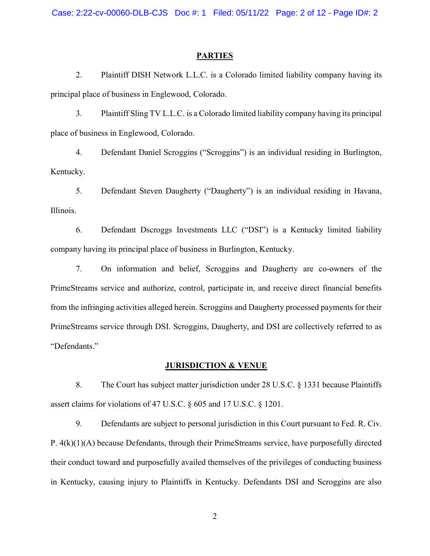## **PARTIES**

2. Plaintiff DISH Network L.L.C. is a Colorado limited liability company having its principal place of business in Englewood, Colorado.

3. Plaintiff Sling TV L.L.C. is a Colorado limited liability company having its principal place of business in Englewood, Colorado.

4. Defendant Daniel Scroggins ("Scroggins") is an individual residing in Burlington, Kentucky.

5. Defendant Steven Daugherty ("Daugherty") is an individual residing in Havana, Illinois.

6. Defendant Dscroggs Investments LLC ("DSI") is a Kentucky limited liability company having its principal place of business in Burlington, Kentucky.

7. On information and belief, Scroggins and Daugherty are co-owners of the PrimeStreams service and authorize, control, participate in, and receive direct financial benefits from the infringing activities alleged herein. Scroggins and Daugherty processed payments for their PrimeStreams service through DSI. Scroggins, Daugherty, and DSI are collectively referred to as "Defendants."

## JURISDICTION & VENUE

8. The Court has subject matter jurisdiction under 28 U.S.C. § 1331 because Plaintiffs assert claims for violations of 47 U.S.C. § 605 and 17 U.S.C. § 1201.

9. Defendants are subject to personal jurisdiction in this Court pursuant to Fed. R. Civ. P. 4(k)(1)(A) because Defendants, through their PrimeStreams service, have purposefully directed their conduct toward and purposefully availed themselves of the privileges of conducting business in Kentucky, causing injury to Plaintiffs in Kentucky. Defendants DSI and Scroggins are also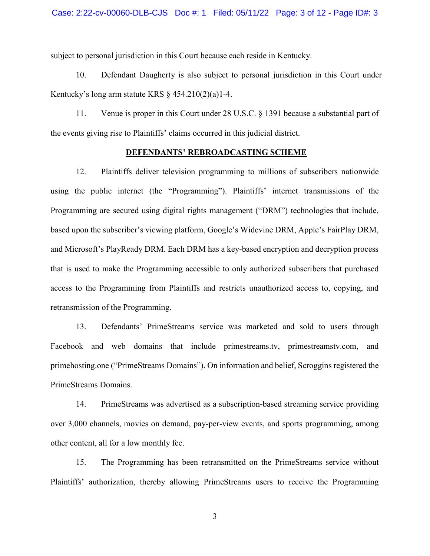subject to personal jurisdiction in this Court because each reside in Kentucky.

10. Defendant Daugherty is also subject to personal jurisdiction in this Court under Kentucky's long arm statute KRS  $\S$  454.210(2)(a)1-4.

11. Venue is proper in this Court under 28 U.S.C. § 1391 because a substantial part of the events giving rise to Plaintiffs' claims occurred in this judicial district.

## DEFENDANTS' REBROADCASTING SCHEME

12. Plaintiffs deliver television programming to millions of subscribers nationwide using the public internet (the "Programming"). Plaintiffs' internet transmissions of the Programming are secured using digital rights management ("DRM") technologies that include, based upon the subscriber's viewing platform, Google's Widevine DRM, Apple's FairPlay DRM, and Microsoft's PlayReady DRM. Each DRM has a key-based encryption and decryption process that is used to make the Programming accessible to only authorized subscribers that purchased access to the Programming from Plaintiffs and restricts unauthorized access to, copying, and retransmission of the Programming.

13. Defendants' PrimeStreams service was marketed and sold to users through Facebook and web domains that include primestreams.tv, primestreamstv.com, and primehosting.one ("PrimeStreams Domains"). On information and belief, Scroggins registered the PrimeStreams Domains.

14. PrimeStreams was advertised as a subscription-based streaming service providing over 3,000 channels, movies on demand, pay-per-view events, and sports programming, among other content, all for a low monthly fee.

15. The Programming has been retransmitted on the PrimeStreams service without Plaintiffs' authorization, thereby allowing PrimeStreams users to receive the Programming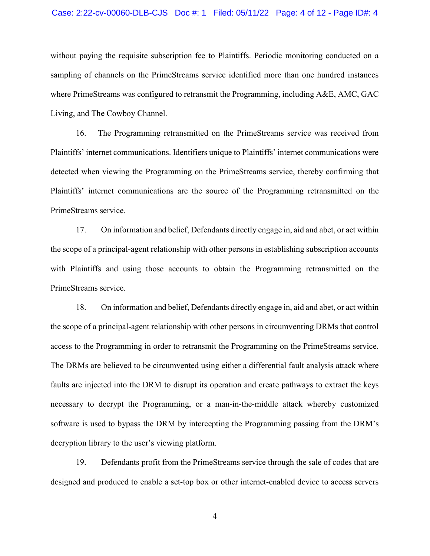#### Case: 2:22-cv-00060-DLB-CJS Doc #: 1 Filed: 05/11/22 Page: 4 of 12 - Page ID#: 4

without paying the requisite subscription fee to Plaintiffs. Periodic monitoring conducted on a sampling of channels on the PrimeStreams service identified more than one hundred instances where PrimeStreams was configured to retransmit the Programming, including A&E, AMC, GAC Living, and The Cowboy Channel.

16. The Programming retransmitted on the PrimeStreams service was received from Plaintiffs' internet communications. Identifiers unique to Plaintiffs' internet communications were detected when viewing the Programming on the PrimeStreams service, thereby confirming that Plaintiffs' internet communications are the source of the Programming retransmitted on the PrimeStreams service.

17. On information and belief, Defendants directly engage in, aid and abet, or act within the scope of a principal-agent relationship with other persons in establishing subscription accounts with Plaintiffs and using those accounts to obtain the Programming retransmitted on the PrimeStreams service.

18. On information and belief, Defendants directly engage in, aid and abet, or act within the scope of a principal-agent relationship with other persons in circumventing DRMs that control access to the Programming in order to retransmit the Programming on the PrimeStreams service. The DRMs are believed to be circumvented using either a differential fault analysis attack where faults are injected into the DRM to disrupt its operation and create pathways to extract the keys necessary to decrypt the Programming, or a man-in-the-middle attack whereby customized software is used to bypass the DRM by intercepting the Programming passing from the DRM's decryption library to the user's viewing platform.

19. Defendants profit from the PrimeStreams service through the sale of codes that are designed and produced to enable a set-top box or other internet-enabled device to access servers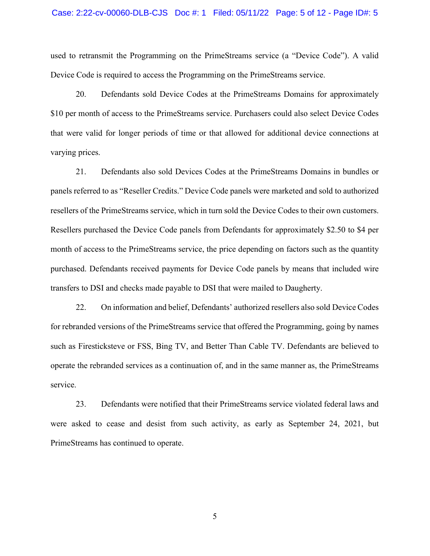#### Case: 2:22-cv-00060-DLB-CJS Doc #: 1 Filed: 05/11/22 Page: 5 of 12 - Page ID#: 5

used to retransmit the Programming on the PrimeStreams service (a "Device Code"). A valid Device Code is required to access the Programming on the PrimeStreams service.

20. Defendants sold Device Codes at the PrimeStreams Domains for approximately \$10 per month of access to the PrimeStreams service. Purchasers could also select Device Codes that were valid for longer periods of time or that allowed for additional device connections at varying prices.

21. Defendants also sold Devices Codes at the PrimeStreams Domains in bundles or panels referred to as "Reseller Credits." Device Code panels were marketed and sold to authorized resellers of the PrimeStreams service, which in turn sold the Device Codes to their own customers. Resellers purchased the Device Code panels from Defendants for approximately \$2.50 to \$4 per month of access to the PrimeStreams service, the price depending on factors such as the quantity purchased. Defendants received payments for Device Code panels by means that included wire transfers to DSI and checks made payable to DSI that were mailed to Daugherty.

22. On information and belief, Defendants' authorized resellers also sold Device Codes for rebranded versions of the PrimeStreams service that offered the Programming, going by names such as Firesticksteve or FSS, Bing TV, and Better Than Cable TV. Defendants are believed to operate the rebranded services as a continuation of, and in the same manner as, the PrimeStreams service.

23. Defendants were notified that their PrimeStreams service violated federal laws and were asked to cease and desist from such activity, as early as September 24, 2021, but PrimeStreams has continued to operate.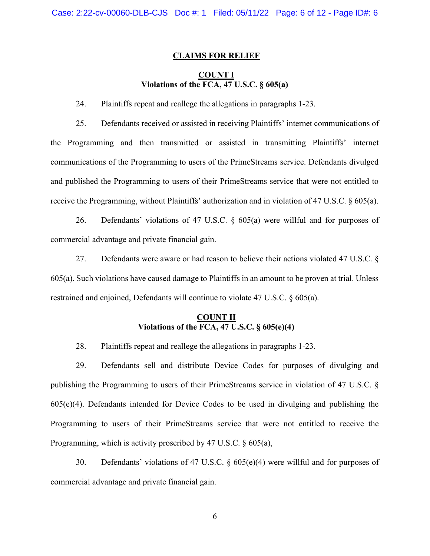## CLAIMS FOR RELIEF

# COUNT I Violations of the FCA, 47 U.S.C. § 605(a)

24. Plaintiffs repeat and reallege the allegations in paragraphs 1-23.

25. Defendants received or assisted in receiving Plaintiffs' internet communications of the Programming and then transmitted or assisted in transmitting Plaintiffs' internet communications of the Programming to users of the PrimeStreams service. Defendants divulged and published the Programming to users of their PrimeStreams service that were not entitled to receive the Programming, without Plaintiffs' authorization and in violation of 47 U.S.C. § 605(a).

26. Defendants' violations of 47 U.S.C. § 605(a) were willful and for purposes of commercial advantage and private financial gain.

27. Defendants were aware or had reason to believe their actions violated 47 U.S.C. § 605(a). Such violations have caused damage to Plaintiffs in an amount to be proven at trial. Unless restrained and enjoined, Defendants will continue to violate 47 U.S.C. § 605(a).

# COUNT II Violations of the  $\overline{FCA, 47}$  U.S.C. § 605(e)(4)

28. Plaintiffs repeat and reallege the allegations in paragraphs 1-23.

29. Defendants sell and distribute Device Codes for purposes of divulging and publishing the Programming to users of their PrimeStreams service in violation of 47 U.S.C. § 605(e)(4). Defendants intended for Device Codes to be used in divulging and publishing the Programming to users of their PrimeStreams service that were not entitled to receive the Programming, which is activity proscribed by 47 U.S.C. § 605(a),

30. Defendants' violations of 47 U.S.C. § 605(e)(4) were willful and for purposes of commercial advantage and private financial gain.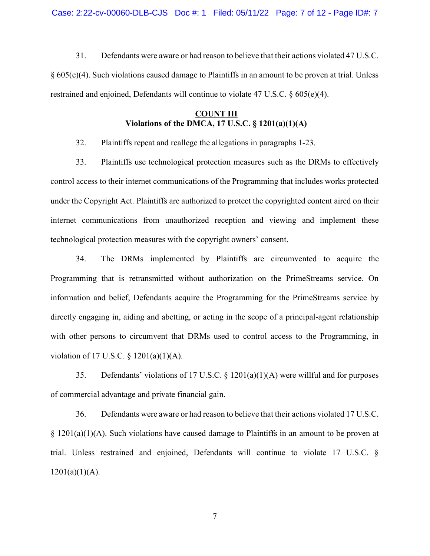31. Defendants were aware or had reason to believe that their actions violated 47 U.S.C. § 605(e)(4). Such violations caused damage to Plaintiffs in an amount to be proven at trial. Unless restrained and enjoined, Defendants will continue to violate 47 U.S.C. § 605(e)(4).

# COUNT III Violations of the DMCA,  $17$  U.S.C.  $\S$   $1201(a)(1)(A)$

32. Plaintiffs repeat and reallege the allegations in paragraphs 1-23.

33. Plaintiffs use technological protection measures such as the DRMs to effectively control access to their internet communications of the Programming that includes works protected under the Copyright Act. Plaintiffs are authorized to protect the copyrighted content aired on their internet communications from unauthorized reception and viewing and implement these technological protection measures with the copyright owners' consent.

34. The DRMs implemented by Plaintiffs are circumvented to acquire the Programming that is retransmitted without authorization on the PrimeStreams service. On information and belief, Defendants acquire the Programming for the PrimeStreams service by directly engaging in, aiding and abetting, or acting in the scope of a principal-agent relationship with other persons to circumvent that DRMs used to control access to the Programming, in violation of 17 U.S.C. § 1201(a)(1)(A).

35. Defendants' violations of 17 U.S.C. § 1201(a)(1)(A) were willful and for purposes of commercial advantage and private financial gain.

36. Defendants were aware or had reason to believe that their actions violated 17 U.S.C.  $\S 1201(a)(1)(A)$ . Such violations have caused damage to Plaintiffs in an amount to be proven at trial. Unless restrained and enjoined, Defendants will continue to violate 17 U.S.C. §  $1201(a)(1)(A)$ .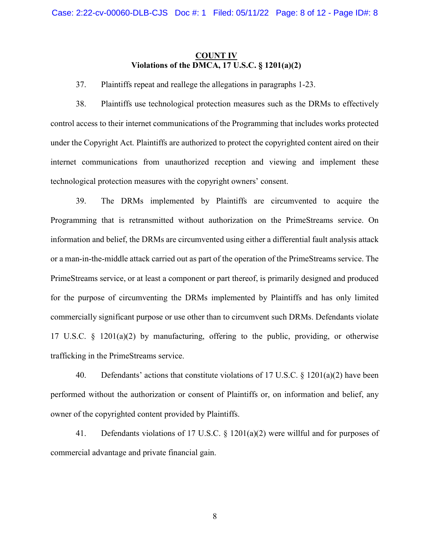# COUNT IV Violations of the DMCA,  $17 \text{ U.S.C.} \$ §  $1201(a)(2)$

37. Plaintiffs repeat and reallege the allegations in paragraphs 1-23.

38. Plaintiffs use technological protection measures such as the DRMs to effectively control access to their internet communications of the Programming that includes works protected under the Copyright Act. Plaintiffs are authorized to protect the copyrighted content aired on their internet communications from unauthorized reception and viewing and implement these technological protection measures with the copyright owners' consent.

39. The DRMs implemented by Plaintiffs are circumvented to acquire the Programming that is retransmitted without authorization on the PrimeStreams service. On information and belief, the DRMs are circumvented using either a differential fault analysis attack or a man-in-the-middle attack carried out as part of the operation of the PrimeStreams service. The PrimeStreams service, or at least a component or part thereof, is primarily designed and produced for the purpose of circumventing the DRMs implemented by Plaintiffs and has only limited commercially significant purpose or use other than to circumvent such DRMs. Defendants violate 17 U.S.C. § 1201(a)(2) by manufacturing, offering to the public, providing, or otherwise trafficking in the PrimeStreams service.

40. Defendants' actions that constitute violations of 17 U.S.C. § 1201(a)(2) have been performed without the authorization or consent of Plaintiffs or, on information and belief, any owner of the copyrighted content provided by Plaintiffs.

41. Defendants violations of 17 U.S.C. § 1201(a)(2) were willful and for purposes of commercial advantage and private financial gain.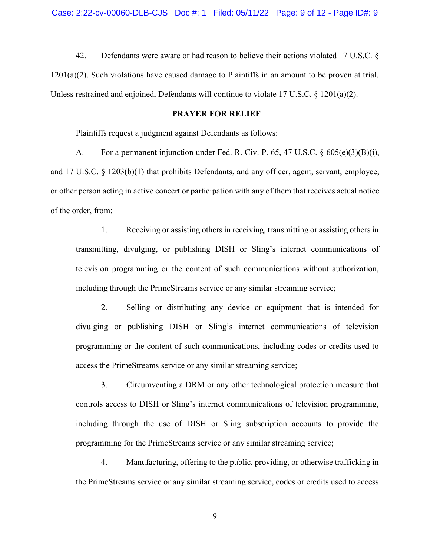42. Defendants were aware or had reason to believe their actions violated 17 U.S.C. § 1201(a)(2). Such violations have caused damage to Plaintiffs in an amount to be proven at trial. Unless restrained and enjoined, Defendants will continue to violate 17 U.S.C. § 1201(a)(2).

#### PRAYER FOR RELIEF

Plaintiffs request a judgment against Defendants as follows:

A. For a permanent injunction under Fed. R. Civ. P. 65, 47 U.S.C.  $\S 605(e)(3)(B)(i)$ , and 17 U.S.C. § 1203(b)(1) that prohibits Defendants, and any officer, agent, servant, employee, or other person acting in active concert or participation with any of them that receives actual notice of the order, from:

1. Receiving or assisting others in receiving, transmitting or assisting others in transmitting, divulging, or publishing DISH or Sling's internet communications of television programming or the content of such communications without authorization, including through the PrimeStreams service or any similar streaming service;

2. Selling or distributing any device or equipment that is intended for divulging or publishing DISH or Sling's internet communications of television programming or the content of such communications, including codes or credits used to access the PrimeStreams service or any similar streaming service;

3. Circumventing a DRM or any other technological protection measure that controls access to DISH or Sling's internet communications of television programming, including through the use of DISH or Sling subscription accounts to provide the programming for the PrimeStreams service or any similar streaming service;

4. Manufacturing, offering to the public, providing, or otherwise trafficking in the PrimeStreams service or any similar streaming service, codes or credits used to access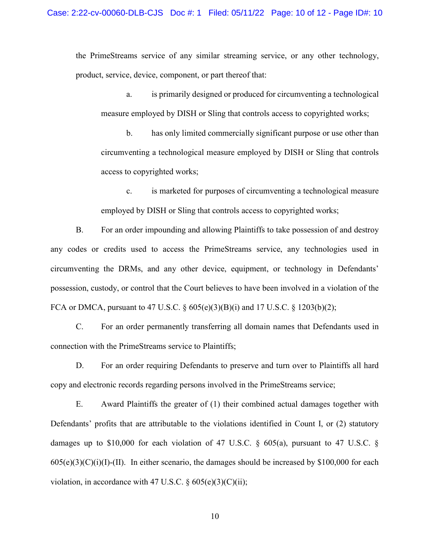the PrimeStreams service of any similar streaming service, or any other technology, product, service, device, component, or part thereof that:

a. is primarily designed or produced for circumventing a technological measure employed by DISH or Sling that controls access to copyrighted works;

b. has only limited commercially significant purpose or use other than circumventing a technological measure employed by DISH or Sling that controls access to copyrighted works;

c. is marketed for purposes of circumventing a technological measure employed by DISH or Sling that controls access to copyrighted works;

B. For an order impounding and allowing Plaintiffs to take possession of and destroy any codes or credits used to access the PrimeStreams service, any technologies used in circumventing the DRMs, and any other device, equipment, or technology in Defendants' possession, custody, or control that the Court believes to have been involved in a violation of the FCA or DMCA, pursuant to 47 U.S.C.  $\S 605(e)(3)(B)(i)$  and 17 U.S.C.  $\S 1203(b)(2)$ ;

C. For an order permanently transferring all domain names that Defendants used in connection with the PrimeStreams service to Plaintiffs;

D. For an order requiring Defendants to preserve and turn over to Plaintiffs all hard copy and electronic records regarding persons involved in the PrimeStreams service;

E. Award Plaintiffs the greater of (1) their combined actual damages together with Defendants' profits that are attributable to the violations identified in Count I, or (2) statutory damages up to \$10,000 for each violation of 47 U.S.C. § 605(a), pursuant to 47 U.S.C. §  $605(e)(3)(C)(i)(I)$ -(II). In either scenario, the damages should be increased by \$100,000 for each violation, in accordance with 47 U.S.C.  $\S 605(e)(3)(C)(ii)$ ;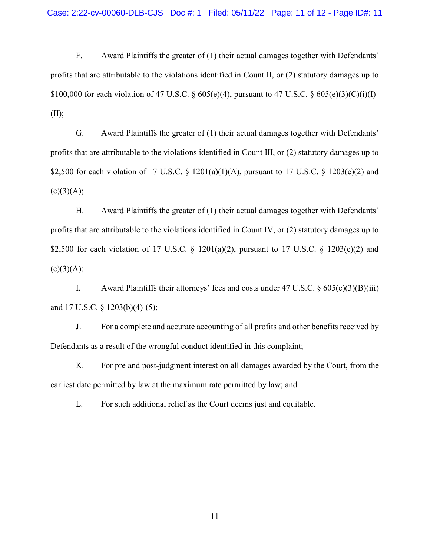F. Award Plaintiffs the greater of (1) their actual damages together with Defendants' profits that are attributable to the violations identified in Count II, or (2) statutory damages up to \$100,000 for each violation of 47 U.S.C. § 605(e)(4), pursuant to 47 U.S.C. § 605(e)(3)(C)(i)(I)-  $(II);$ 

G. Award Plaintiffs the greater of (1) their actual damages together with Defendants' profits that are attributable to the violations identified in Count III, or (2) statutory damages up to \$2,500 for each violation of 17 U.S.C. § 1201(a)(1)(A), pursuant to 17 U.S.C. § 1203(c)(2) and  $(c)(3)(A);$ 

H. Award Plaintiffs the greater of (1) their actual damages together with Defendants' profits that are attributable to the violations identified in Count IV, or (2) statutory damages up to \$2,500 for each violation of 17 U.S.C. § 1201(a)(2), pursuant to 17 U.S.C. § 1203(c)(2) and  $(c)(3)(A);$ 

I. Award Plaintiffs their attorneys' fees and costs under 47 U.S.C.  $\S 605(e)(3)(B)(iii)$ and 17 U.S.C. § 1203(b)(4)-(5);

J. For a complete and accurate accounting of all profits and other benefits received by Defendants as a result of the wrongful conduct identified in this complaint;

K. For pre and post-judgment interest on all damages awarded by the Court, from the earliest date permitted by law at the maximum rate permitted by law; and

L. For such additional relief as the Court deems just and equitable.